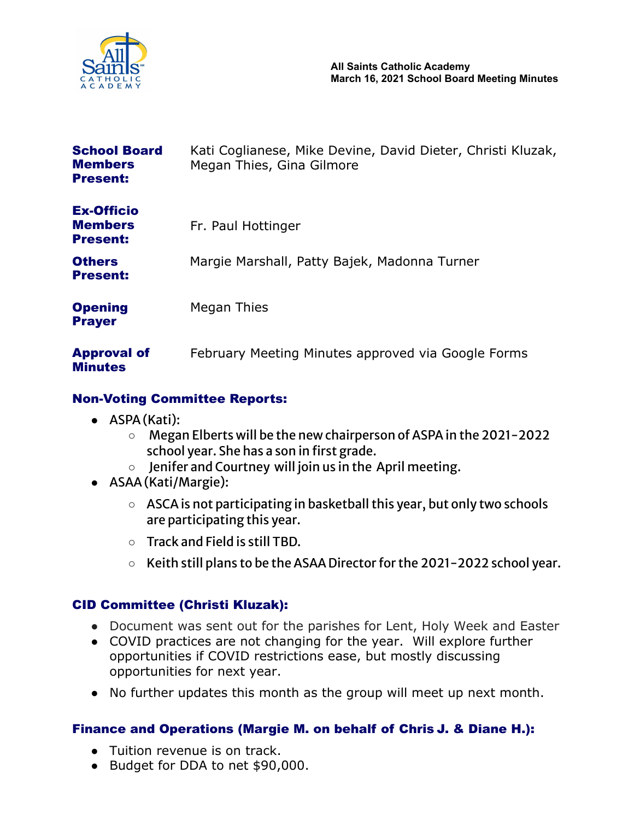

| <b>School Board</b><br><b>Members</b><br><b>Present:</b> | Kati Coglianese, Mike Devine, David Dieter, Christi Kluzak,<br>Megan Thies, Gina Gilmore |
|----------------------------------------------------------|------------------------------------------------------------------------------------------|
| <b>Ex-Officio</b><br><b>Members</b><br><b>Present:</b>   | Fr. Paul Hottinger                                                                       |
| <b>Others</b><br><b>Present:</b>                         | Margie Marshall, Patty Bajek, Madonna Turner                                             |
| <b>Opening</b><br><b>Prayer</b>                          | Megan Thies                                                                              |
| <b>Approval of</b><br><b>Minutes</b>                     | February Meeting Minutes approved via Google Forms                                       |

## Non-Voting Committee Reports:

- ASPA (Kati):
	- Megan Elberts will be the new chairperson of ASPA in the 2021-2022 school year. She has a son in first grade.
	- Jenifer and Courtney will join us in the April meeting.
- ASAA(Kati/Margie):
	- ASCAis not participating in basketball this year, but only two schools are participating this year.
	- Track and Field is still TBD.
	- Keith still plans to be the ASAA Director for the 2021-2022 school year.

## CID Committee (Christi Kluzak):

- Document was sent out for the parishes for Lent, Holy Week and Easter
- COVID practices are not changing for the year. Will explore further opportunities if COVID restrictions ease, but mostly discussing opportunities for next year.
- No further updates this month as the group will meet up next month.

## Finance and Operations (Margie M. on behalf of Chris J. & Diane H.):

- Tuition revenue is on track.
- Budget for DDA to net \$90,000.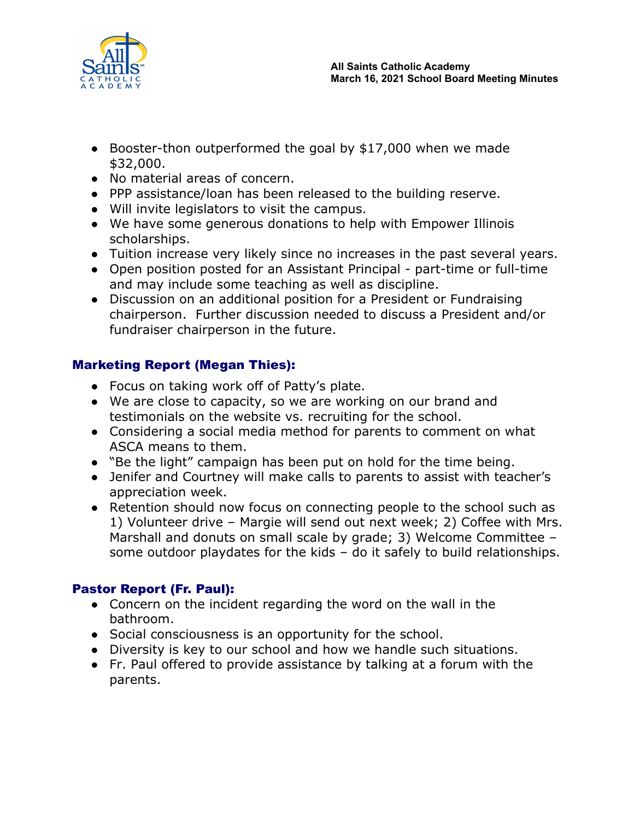

- Booster-thon outperformed the goal by \$17,000 when we made \$32,000.
- No material areas of concern.
- PPP assistance/loan has been released to the building reserve.
- Will invite legislators to visit the campus.
- We have some generous donations to help with Empower Illinois scholarships.
- Tuition increase very likely since no increases in the past several years.
- Open position posted for an Assistant Principal part-time or full-time and may include some teaching as well as discipline.
- Discussion on an additional position for a President or Fundraising chairperson. Further discussion needed to discuss a President and/or fundraiser chairperson in the future.

# Marketing Report (Megan Thies):

- Focus on taking work off of Patty's plate.
- We are close to capacity, so we are working on our brand and testimonials on the website vs. recruiting for the school.
- Considering a social media method for parents to comment on what ASCA means to them.
- "Be the light" campaign has been put on hold for the time being.
- Jenifer and Courtney will make calls to parents to assist with teacher's appreciation week.
- Retention should now focus on connecting people to the school such as 1) Volunteer drive – Margie will send out next week; 2) Coffee with Mrs. Marshall and donuts on small scale by grade; 3) Welcome Committee – some outdoor playdates for the kids – do it safely to build relationships.

# Pastor Report (Fr. Paul):

- Concern on the incident regarding the word on the wall in the bathroom.
- Social consciousness is an opportunity for the school.
- Diversity is key to our school and how we handle such situations.
- Fr. Paul offered to provide assistance by talking at a forum with the parents.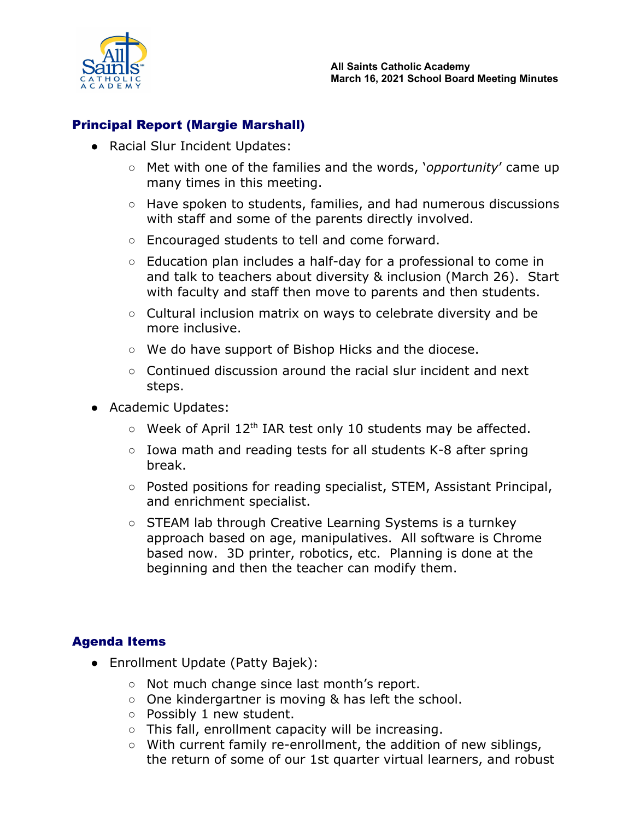

## Principal Report (Margie Marshall)

- Racial Slur Incident Updates:
	- Met with one of the families and the words, '*opportunity*' came up many times in this meeting.
	- Have spoken to students, families, and had numerous discussions with staff and some of the parents directly involved.
	- Encouraged students to tell and come forward.
	- Education plan includes a half-day for a professional to come in and talk to teachers about diversity & inclusion (March 26). Start with faculty and staff then move to parents and then students.
	- Cultural inclusion matrix on ways to celebrate diversity and be more inclusive.
	- We do have support of Bishop Hicks and the diocese.
	- Continued discussion around the racial slur incident and next steps.
- Academic Updates:
	- Week of April 12<sup>th</sup> IAR test only 10 students may be affected.
	- Iowa math and reading tests for all students K-8 after spring break.
	- Posted positions for reading specialist, STEM, Assistant Principal, and enrichment specialist.
	- STEAM lab through Creative Learning Systems is a turnkey approach based on age, manipulatives. All software is Chrome based now. 3D printer, robotics, etc. Planning is done at the beginning and then the teacher can modify them.

## Agenda Items

- Enrollment Update (Patty Bajek):
	- Not much change since last month's report.
	- One kindergartner is moving & has left the school.
	- Possibly 1 new student.
	- This fall, enrollment capacity will be increasing.
	- With current family re-enrollment, the addition of new siblings, the return of some of our 1st quarter virtual learners, and robust